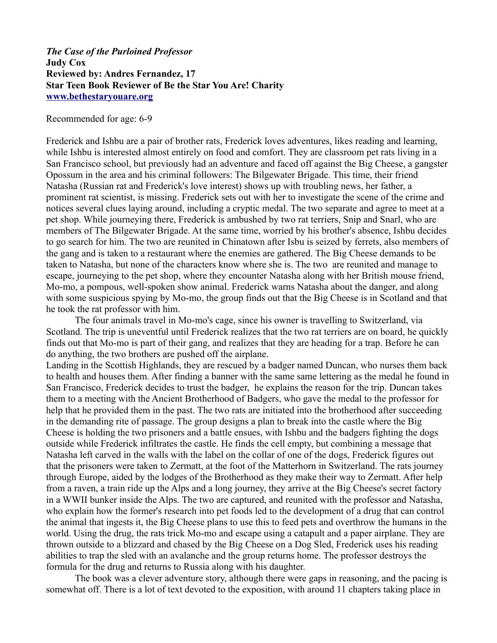## *The Case of the Purloined Professor* **Judy Cox Reviewed by: Andres Fernandez, 17 Star Teen Book Reviewer of Be the Star You Are! Charity [www.bethestaryouare.org](http://www.bethestaryouare.org/)**

Recommended for age: 6-9

Frederick and Ishbu are a pair of brother rats, Frederick loves adventures, likes reading and learning, while Ishbu is interested almost entirely on food and comfort. They are classroom pet rats living in a San Francisco school, but previously had an adventure and faced off against the Big Cheese, a gangster Opossum in the area and his criminal followers: The Bilgewater Brigade. This time, their friend Natasha (Russian rat and Frederick's love interest) shows up with troubling news, her father, a prominent rat scientist, is missing. Frederick sets out with her to investigate the scene of the crime and notices several clues laying around, including a cryptic medal. The two separate and agree to meet at a pet shop. While journeying there, Frederick is ambushed by two rat terriers, Snip and Snarl, who are members of The Bilgewater Brigade. At the same time, worried by his brother's absence, Ishbu decides to go search for him. The two are reunited in Chinatown after Isbu is seized by ferrets, also members of the gang and is taken to a restaurant where the enemies are gathered. The Big Cheese demands to be taken to Natasha, but none of the characters know where she is. The two are reunited and manage to escape, journeying to the pet shop, where they encounter Natasha along with her British mouse friend, Mo-mo, a pompous, well-spoken show animal. Frederick warns Natasha about the danger, and along with some suspicious spying by Mo-mo, the group finds out that the Big Cheese is in Scotland and that he took the rat professor with him.

The four animals travel in Mo-mo's cage, since his owner is travelling to Switzerland, via Scotland. The trip is uneventful until Frederick realizes that the two rat terriers are on board, he quickly finds out that Mo-mo is part of their gang, and realizes that they are heading for a trap. Before he can do anything, the two brothers are pushed off the airplane.

Landing in the Scottish Highlands, they are rescued by a badger named Duncan, who nurses them back to health and houses them. After finding a banner with the same same lettering as the medal he found in San Francisco, Frederick decides to trust the badger, he explains the reason for the trip. Duncan takes them to a meeting with the Ancient Brotherhood of Badgers, who gave the medal to the professor for help that he provided them in the past. The two rats are initiated into the brotherhood after succeeding in the demanding rite of passage. The group designs a plan to break into the castle where the Big Cheese is holding the two prisoners and a battle ensues, with Ishbu and the badgers fighting the dogs outside while Frederick infiltrates the castle. He finds the cell empty, but combining a message that Natasha left carved in the walls with the label on the collar of one of the dogs, Frederick figures out that the prisoners were taken to Zermatt, at the foot of the Matterhorn in Switzerland. The rats journey through Europe, aided by the lodges of the Brotherhood as they make their way to Zermatt. After help from a raven, a train ride up the Alps and a long journey, they arrive at the Big Cheese's secret factory in a WWII bunker inside the Alps. The two are captured, and reunited with the professor and Natasha, who explain how the former's research into pet foods led to the development of a drug that can control the animal that ingests it, the Big Cheese plans to use this to feed pets and overthrow the humans in the world. Using the drug, the rats trick Mo-mo and escape using a catapult and a paper airplane. They are thrown outside to a blizzard and chased by the Big Cheese on a Dog Sled, Frederick uses his reading abilities to trap the sled with an avalanche and the group returns home. The professor destroys the formula for the drug and returns to Russia along with his daughter.

The book was a clever adventure story, although there were gaps in reasoning, and the pacing is somewhat off. There is a lot of text devoted to the exposition, with around 11 chapters taking place in